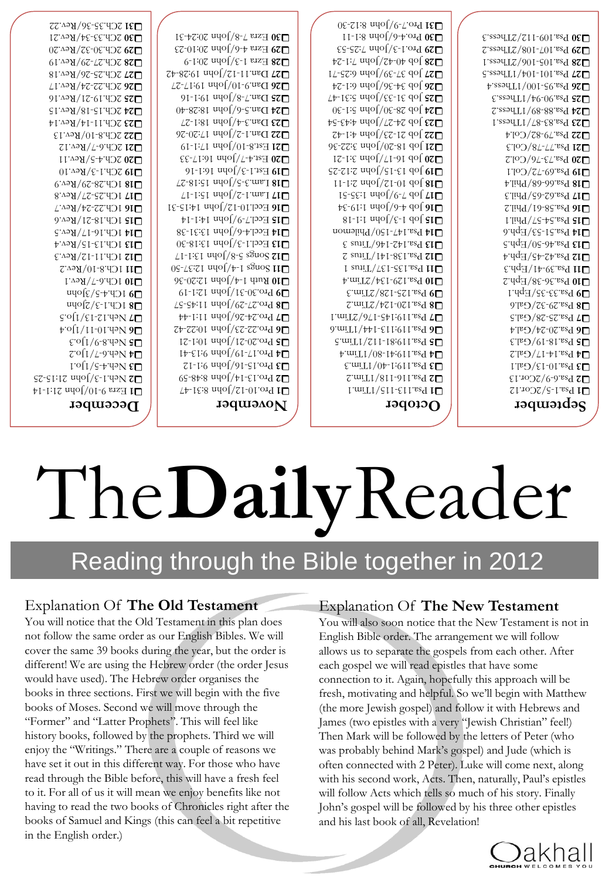

not follow the same order as our English Bibles. We will cover the same 39 books during the year, but the order is different! We are using the Hebrew order (the order Jesus would have used). The Hebrew order organises the books in three sections. First we will begin with the five books of Moses. Second we will move through the "Former" and "Latter Prophets". This will feel like history books, followed by the prophets. Third we will enjoy the "Writings." There are a couple of reasons we have set it out in this different way. For those who have read through the Bible before, this will have a fresh feel to it. For all of us it will mean we enjoy benefits like not having to read the two books of Chronicles right after the books of Samuel and Kings (this can feel a bit repetitive in the English order.)

#### Explanation Of **The Old Testament**

You will notice that the Old Testament in this plan does

You will also soon notice that the New Testament is not in English Bible order. The arrangement we will follow allows us to separate the gospels from each other. After each gospel we will read epistles that have some connection to it. Again, hopefully this approach will be fresh, motivating and helpful. So we'll begin with Matthew (the more Jewish gospel) and follow it with Hebrews and James (two epistles with a very "Jewish Christian" feel!) Then Mark will be followed by the letters of Peter (who was probably behind Mark's gospel) and Jude (which is often connected with 2 Peter). Luke will come next, along with his second work, Acts. Then, naturally, Paul's epistles will follow Acts which tells so much of his story. Finally John's gospel will be followed by his three other epistles and his last book of all, Revelation!

#### Explanation Of **The New Testament**

# Reading through the Bible together in 2012

# The**Daily**Reader

#### **December**

 $10^{10}$  Fz<br>rs  $10^{10}$  or  $10^{11}$  -14  $\pm$  $25 - 31:12$  and  $2(-1)$  $\Gamma$ <sup>o</sup> $\Gamma$ /s<sup>+</sup> $\rightarrow$ der.4  $\epsilon$  $7^\circ$ <sup>1</sup>/ $\frac{1}{2}^\circ$   $\frac{1}{2}^\circ$  $\mathcal{E}$ oll/6-8  $49N$  **90**  $10^{1/11}$ o.1  $9<sup>o</sup>$ **13/1**]o.5 *το* Γι  $\Box$ 8 J $\Box$ 1  $\Box$ 2] $\Box$  $\Box$ 6 J $\Box$ 4  $\Box$ 5 J $\Box$ 9 J $\Box$  $\blacksquare$ 10  $1$  Ch.6-7/Rev.1 L11 1Ch.8-10/Rev.2 **12/Rev.3**  $\Box$ 13 1 $\Box$ 13-15 $\Box$ Rev.4 **114 1Ch.16-17/Rev.5 15 1Ch.18-21/Rev.6**  $□$ 10 1 СР 22-24 / Кеч.7 **27/Rev.8** ■18 1Ch.28-29/Rev.9  $\Box$ 19 2Ch.1-3/Rev.10 **120** 2Ch.4-5/Rev.11 **□21** 2Ch.6-7/Rev.12 **122 2Ch.8-10/Rev.13**  $\Box$ ZCh.11-14/Rev.14  $\Box$ 24 2Ch.15-18/Rev.15 21/Rev.16 - 2Ch.19 **25 □26** 2Ch.22-24/Rev.17 **27 26.25-26/Rev.18** 29/Rev.19 - 2Ch.27 **28 229 2Ch.30-32/Rev.20** 

**130 2Ch.33-34/Rev.21 131 2Ch.35-36/Rev.22** 

### **October**

 $1.01\pm0.11\pm0.11$  . Put in Fig. 118/1Tim.2 - Psa.116 **2**  40/1Tim.3 - Psa.119:1 **3**  80/1Tim.4 - Psa.119:41 **4**  112/1Tim.5 - Psa.119:81 **5**  144/1Tim.6 - Psa.119:113 **6**  176/2Tim.1 - Psa.119:145 **7**  124/2Tim.2 - Psa.120 **8**  128/2Tim.3 - Psa.125 **9**  134/2Tim.4 - Psa.129 **10**  137/Titus 1 - Psa.135 **11**   $2 \frac{\text{snu}}{\text{L}} / \text{th} - 8 \epsilon \text{cm}$ s 1  $\epsilon$  aniT\041-241.689  $\epsilon$  $\blacksquare$ 14  $b$ <sup>83</sup> 14 $\blacksquare$ 16  $b$  12 $\blacksquare$  $181 - 13$  and  $16$   $19$ ط1**6 |o**b 4-6/John 1:19-34  $15-55:1$  uyo $\left[\frac{6-2}{10}\right]$  qo $\left[\frac{1}{10}\right]$ 11 - 12/John 2:1 - Job 10 **<sup>18</sup>** 25 - 15/John 2:12 - Job 13 **<sup>19</sup>** 21 - 17/John 3:1 - Job 16 **<sup>20</sup>** 36 - 20/John 3:22 - Job 18 **<sup>21</sup>**  $75$   $29$   $23$   $14$   $23$   $14$   $24$ **523** *John 4:43-54* **34 Job 28-30/John 5:1-30** 47 - 33/John 5:31 - Job 31 **<sup>25</sup> 24** *24-36*) απριστεί 71 - 39/John 6:25 - Job 37 **<sup>27</sup>**  $Z$ -1:7  $\text{mod}(Z+0)$  do  $8Z$ 53 - 3/John 7:25 - Pro.1 **<sup>29</sup>**  $11 - 13$  and  $19 - 4$  or  $19 - 8$ .  $\Box$ 31  $\mathrm{D}$ <sub>ro</sub>.7 $\mathrm{D}$ / $\mathrm{D}$ <sub>i</sub>o.7  $\mathrm{30}$ 

**November**  47 - 12/John 8:31 - Pro.10 **<sup>1</sup>**  $\Box$ 5-14/John 8:48-59  $12$   $10^{10}$   $10^{10}$   $10^{10}$   $10^{10}$  $\mu_{\text{F}}$  19/John 9:13-41 21 - 21/John 10:1 - Pro.20 **<sup>5</sup>** 42 - 23/John 10:22 - Pro.22 **<sup>6</sup>** 44 - 26/John 11:1 - Pro.24 **<sup>7</sup>**  $\mathbb{Z}$ S-S4:11  $\mathbb{Z}$ olog $\mathbb{Z}$ -S4:11  $\mathbb{Z}$  $\Box$ 19  $\mathrm{D}$ <sup>20.30</sup>  $\mathrm{D}$   $\mathrm{D}$   $\mathrm{D}$   $\mathrm{D}$   $\mathrm{D}$   $\mathrm{D}$   $\mathrm{D}$   $\mathrm{D}$ ■ **10** *Ruth* 1 <sup>4</sup>/<sub>1</sub> $\theta$  1 2:20−36 **50 12:37 - 4/John 12:37-50** 17 - 8/John 13:1 - Songs 5 **<sup>12</sup>**  $\Box$ 13  $\Box$ scl.1-3/John 13:18-30  $\Box$ 14  $E$ ccl.4  $-6$ /John 13:31 $-38$  $\blacksquare$ 12  $E$ ccl.7-9/John 14:1-14  $\Box$ 16  $E$ ccl.10-12/John 14:15-31  $\mathcal{L}$   $\mathcal{L}$  -  $\mathcal{L}$   $\mathcal{L}$   $\mathcal{L}$   $\mathcal{L}$   $\mathcal{L}$   $\mathcal{L}$   $\mathcal{L}$   $\mathcal{L}$   $\mathcal{L}$   $\mathcal{L}$   $\mathcal{L}$   $\mathcal{L}$   $\mathcal{L}$   $\mathcal{L}$   $\mathcal{L}$   $\mathcal{L}$   $\mathcal{L}$   $\mathcal{L}$   $\mathcal{L}$   $\mathcal{L}$   $\mathcal{L}$   $\mathcal{L}$   $\math$ 27 - 5/John 15:18 - Lam.3 **<sup>18</sup> 19 Est.1-3/John 16:1-16 23 Bst.4-7/John 16:17-33**  $\blacksquare$ 19  $\blacksquare$  1970)  $\blacksquare$  17:1-19  $22$ -20  $2\pi$  up  $\sqrt{2}$  l up  $\sqrt{2}$  $Z^2$ -1:81  $\frac{\text{mod}}{\text{mod}}$  +  $\frac{\text{mod}}{\text{mod}}$ **424 Dan.5-6/John 18:28-40** 16 - 8/John 19:1 - Dan.7 **<sup>25</sup>**  $Z^2$ -27:17 μμο 10:17-27 42 - 12/John 19:28 - Dan.11 **<sup>27</sup> 928** Ezra 1-3/John 20:1-9 ■29 Ezra 4-6/John 20:10-23 **30 Ezra** 7-8/John 20:24-31

**September**   $\Box$ 1 Psa.1-5/2Cor.12 **22** Psa.6-9/2Cor.13  $\Box$ 13  $\mathrm{L}$   $\mathrm{L}$   $\mathrm{L}$   $\mathrm{L}$   $\mathrm{L}$   $\mathrm{L}$   $\mathrm{L}$   $\mathrm{L}$   $\mathrm{L}$   $\mathrm{L}$   $\mathrm{L}$   $\mathrm{L}$   $\mathrm{L}$   $\mathrm{L}$   $\mathrm{L}$   $\mathrm{L}$   $\mathrm{L}$   $\mathrm{L}$   $\mathrm{L}$   $\mathrm{L}$   $\mathrm{L}$   $\mathrm{L}$   $\mathrm{L}$   $\mathrm{L}$   $\mathrm{L}$   $\mathrm{L}$   $\mathrm{L}$  $\Gamma^{12}$ <sub>U</sub>  $\Gamma^{12}$ <sub>1</sub>  $\Gamma^{12}$ <sub>2</sub>  $\Gamma^{12}$  $\Gamma$ 18<sup>-19</sup>/Gal.3  $\Gamma$  $□$ **2**  $B$ <sup>23</sup> 24/G<sup>a</sup>l.4 ■28°52°58/G<sup>a</sup>r 32/Gal.6 - Psa.29 **8 19 Psa.33-35/Eph.1**  $7^{\circ}$ udd/8£-9£<sup>, p</sup>sa.36 **01**  $E = \frac{1}{10}$  *b*<sup>-6</sup>ε *ε ε μ* **11 b 412 Psa.42.43/Eph.4 5.49-50/Eph.5 J14** Psa.51-53/Eph.6 57/Phil.1 - Psa.54 **15**  61/Phil.2 - Psa.58 **16**  65/Phil.3 - Psa.62 **17**  68/Phil.4 - Psa.66 **18**   $T^{10}$ <sup>29</sup>  $T^{2/2}$  $\square$ 20 *B*<sup>2</sup>·2/Col.2 <sup>2</sup>  $\Gamma_{\rm 27}$  -78/Col.3  $\pm$  18/Col.3  $\pm$ 

82/Col.4 - Psa.79 **22 Example 123-83-83 PM** 89/1Thess.2 - Psa.88 **24**   $528$  *Pss* 90-94/1Thess.3 100/1Thess.4 - Psa.95 **26**  104/1Thess.5 - Psa.101 **27**  106/2Thess.1 - Psa.105 **28**  L29 Psa.107-108/2Thess.2 112/2Thess.3 - Psa.109 **30**